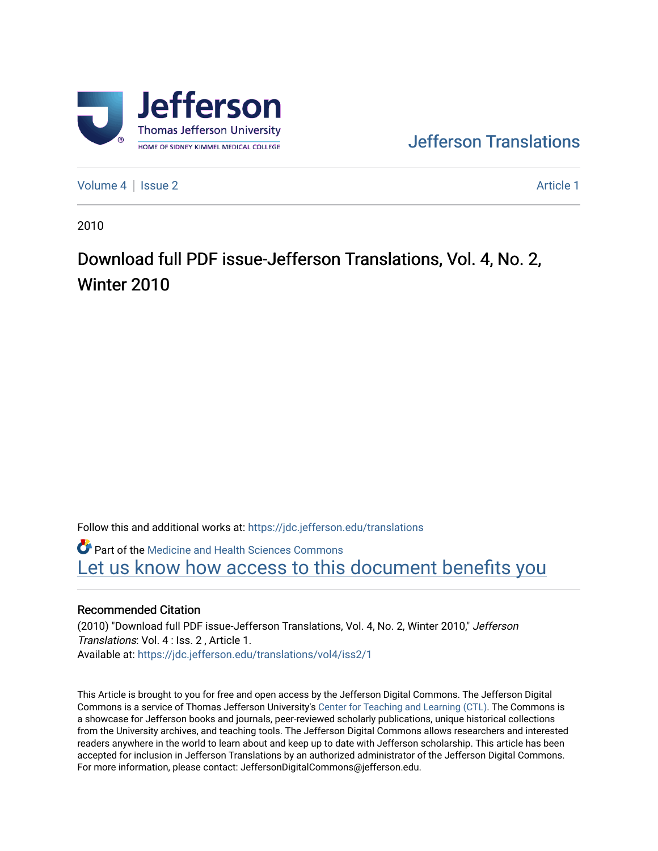

[Jefferson Translations](https://jdc.jefferson.edu/translations) 

[Volume 4](https://jdc.jefferson.edu/translations/vol4) | [Issue 2](https://jdc.jefferson.edu/translations/vol4/iss2) Article 1

2010

## Download full PDF issue-Jefferson Translations, Vol. 4, No. 2, Winter 2010

Follow this and additional works at: [https://jdc.jefferson.edu/translations](https://jdc.jefferson.edu/translations?utm_source=jdc.jefferson.edu%2Ftranslations%2Fvol4%2Fiss2%2F1&utm_medium=PDF&utm_campaign=PDFCoverPages)

Part of the [Medicine and Health Sciences Commons](http://network.bepress.com/hgg/discipline/648?utm_source=jdc.jefferson.edu%2Ftranslations%2Fvol4%2Fiss2%2F1&utm_medium=PDF&utm_campaign=PDFCoverPages) 

Let us know how access to this document benefits you

## Recommended Citation

(2010) "Download full PDF issue-Jefferson Translations, Vol. 4, No. 2, Winter 2010," Jefferson Translations: Vol. 4 : Iss. 2 , Article 1. Available at: [https://jdc.jefferson.edu/translations/vol4/iss2/1](https://jdc.jefferson.edu/translations/vol4/iss2/1?utm_source=jdc.jefferson.edu%2Ftranslations%2Fvol4%2Fiss2%2F1&utm_medium=PDF&utm_campaign=PDFCoverPages) 

This Article is brought to you for free and open access by the Jefferson Digital Commons. The Jefferson Digital Commons is a service of Thomas Jefferson University's [Center for Teaching and Learning \(CTL\)](http://www.jefferson.edu/university/teaching-learning.html/). The Commons is a showcase for Jefferson books and journals, peer-reviewed scholarly publications, unique historical collections from the University archives, and teaching tools. The Jefferson Digital Commons allows researchers and interested readers anywhere in the world to learn about and keep up to date with Jefferson scholarship. This article has been accepted for inclusion in Jefferson Translations by an authorized administrator of the Jefferson Digital Commons. For more information, please contact: JeffersonDigitalCommons@jefferson.edu.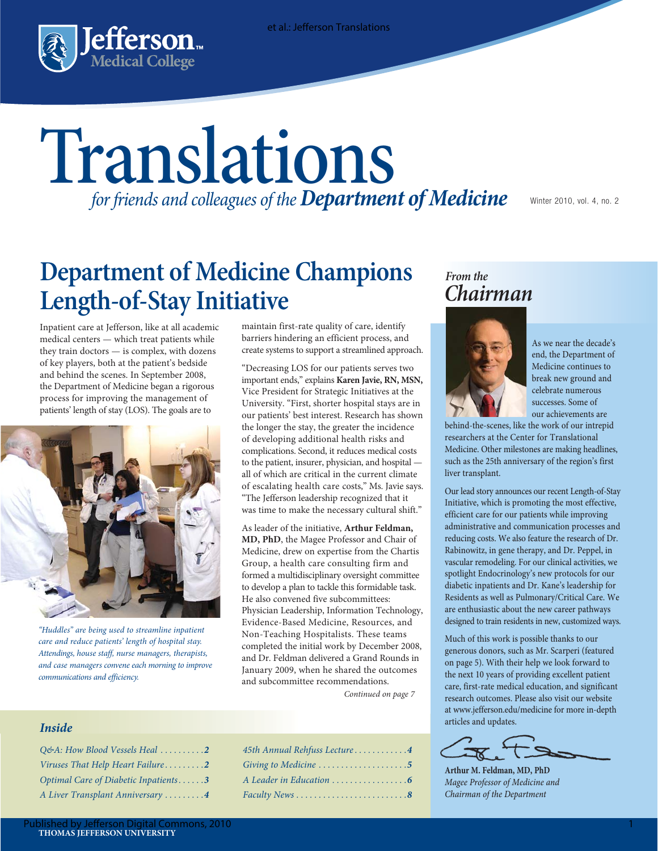

# *for friends and colleagues of theDepartment of Medicine* Translations

Winter 2010, vol. 4, no. 2

## **Department of Medicine Champions Length-of-Stay Initiative**

Inpatient care at Jefferson, like at all academic medical centers — which treat patients while they train doctors — is complex, with dozens of key players, both at the patient's bedside and behind the scenes. In September 2008, the Department of Medicine began a rigorous process for improving the management of patients' length of stay (LOS). The goals are to



*"Huddles" are being used to streamline inpatient care and reduce patients' length of hospital stay. Attendings, house staff, nurse managers, therapists, and case managers convene each morning to improve communications and efficiency.* 

maintain first-rate quality of care, identify barriers hindering an efficient process, and create systems to support a streamlined approach.

"Decreasing LOS for our patients serves two important ends," explains **Karen Javie, RN, MSN,** Vice President for Strategic Initiatives at the University. "First, shorter hospital stays are in our patients' best interest. Research has shown the longer the stay, the greater the incidence of developing additional health risks and complications. Second, it reduces medical costs to the patient, insurer, physician, and hospital all of which are critical in the current climate of escalating health care costs," Ms. Javie says. "The Jefferson leadership recognized that it was time to make the necessary cultural shift."

As leader of the initiative, **Arthur Feldman, MD, PhD**, the Magee Professor and Chair of Medicine, drew on expertise from the Chartis Group, a health care consulting firm and formed a multidisciplinary oversight committee to develop a plan to tackle this formidable task. He also convened five subcommittees: Physician Leadership, Information Technology, Evidence-Based Medicine, Resources, and Non-Teaching Hospitalists. These teams completed the initial work by December 2008, and Dr. Feldman delivered a Grand Rounds in January 2009, when he shared the outcomes and subcommittee recommendations.

*Continued on page 7*

## *Inside*

| $Q\&A$ : How Blood Vessels Heal 2    |
|--------------------------------------|
| Viruses That Help Heart Failure2     |
| Optimal Care of Diabetic Inpatients3 |
| A Liver Transplant Anniversary 4     |

| 45th Annual Rehfuss Lecture 4                                    |
|------------------------------------------------------------------|
| Giving to Medicine $\ldots \ldots \ldots \ldots \ldots \ldots 5$ |
| A Leader in Education $\dots \dots \dots \dots \dots 6$          |
|                                                                  |

## *From the Chairman*



As we near the decade's end, the Department of Medicine continues to break new ground and celebrate numerous successes. Some of our achievements are

behind-the-scenes, like the work of our intrepid researchers at the Center for Translational Medicine. Other milestones are making headlines, such as the 25th anniversary of the region's first liver transplant.

Our lead story announces our recent Length-of-Stay Initiative, which is promoting the most effective, efficient care for our patients while improving administrative and communication processes and reducing costs. We also feature the research of Dr. Rabinowitz, in gene therapy, and Dr. Peppel, in vascular remodeling. For our clinical activities, we spotlight Endocrinology's new protocols for our diabetic inpatients and Dr. Kane's leadership for Residents as well as Pulmonary/Critical Care. We are enthusiastic about the new career pathways designed to train residents in new, customized ways.

Much of this work is possible thanks to our generous donors, such as Mr. Scarperi (featured on page 5). With their help we look forward to the next 10 years of providing excellent patient care, first-rate medical education, and significant research outcomes. Please also visit our website at www.jefferson.edu/medicine for more in-depth articles and updates.



**Arthur M. Feldman, MD, PhD** *Magee Professor of Medicine and Chairman of the Department*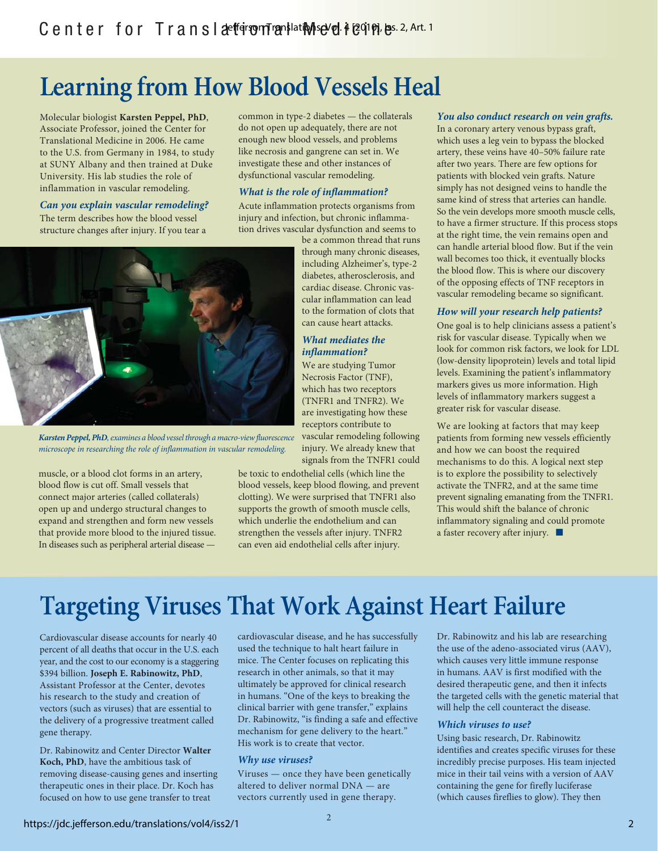## **Learning from How Blood Vessels Heal**

Molecular biologist **Karsten Peppel, PhD**, Associate Professor, joined the Center for Translational Medicine in 2006. He came to the U.S. from Germany in 1984, to study at SUNY Albany and then trained at Duke University. His lab studies the role of inflammation in vascular remodeling.

## *Can you explain vascular remodeling?*

The term describes how the blood vessel structure changes after injury. If you tear a common in type-2 diabetes — the collaterals do not open up adequately, there are not enough new blood vessels, and problems like necrosis and gangrene can set in. We investigate these and other instances of dysfunctional vascular remodeling.

### *What is the role of inflammation?*

Acute inflammation protects organisms from injury and infection, but chronic inflammation drives vascular dysfunction and seems to



*Karsten Peppel, PhD, examines a blood vessel through a macro-view fluorescence microscope in researching the role of inflammation in vascular remodeling.*

muscle, or a blood clot forms in an artery, blood flow is cut off. Small vessels that connect major arteries (called collaterals) open up and undergo structural changes to expand and strengthen and form new vessels that provide more blood to the injured tissue. In diseases such as peripheral arterial disease —

be a common thread that runs through many chronic diseases, including Alzheimer's, type-2 diabetes, atherosclerosis, and cardiac disease. Chronic vascular inflammation can lead to the formation of clots that can cause heart attacks.

### *What mediates the inflammation?*

We are studying Tumor Necrosis Factor (TNF), which has two receptors (TNFR1 and TNFR2). We are investigating how these receptors contribute to vascular remodeling following injury. We already knew that signals from the TNFR1 could

be toxic to endothelial cells (which line the blood vessels, keep blood flowing, and prevent clotting). We were surprised that TNFR1 also supports the growth of smooth muscle cells, which underlie the endothelium and can strengthen the vessels after injury. TNFR2 can even aid endothelial cells after injury.

### *You also conduct research on vein grafts.*

In a coronary artery venous bypass graft, which uses a leg vein to bypass the blocked artery, these veins have 40–50% failure rate after two years. There are few options for patients with blocked vein grafts. Nature simply has not designed veins to handle the same kind of stress that arteries can handle. So the vein develops more smooth muscle cells, to have a firmer structure. If this process stops at the right time, the vein remains open and can handle arterial blood flow. But if the vein wall becomes too thick, it eventually blocks the blood flow. This is where our discovery of the opposing effects of TNF receptors in vascular remodeling became so significant.

### *How will your research help patients?*

One goal is to help clinicians assess a patient's risk for vascular disease. Typically when we look for common risk factors, we look for LDL (low-density lipoprotein) levels and total lipid levels. Examining the patient's inflammatory markers gives us more information. High levels of inflammatory markers suggest a greater risk for vascular disease.

We are looking at factors that may keep patients from forming new vessels efficiently and how we can boost the required mechanisms to do this. A logical next step is to explore the possibility to selectively activate the TNFR2, and at the same time prevent signaling emanating from the TNFR1. This would shift the balance of chronic inflammatory signaling and could promote a faster recovery after injury. ■

## **Targeting Viruses That Work Against Heart Failure**

Cardiovascular disease accounts for nearly 40 percent of all deaths that occur in the U.S. each year, and the cost to our economy is a staggering \$394 billion. **Joseph E. Rabinowitz, PhD**, Assistant Professor at the Center, devotes his research to the study and creation of vectors (such as viruses) that are essential to the delivery of a progressive treatment called gene therapy.

Dr. Rabinowitz and Center Director **Walter Koch, PhD**, have the ambitious task of removing disease-causing genes and inserting therapeutic ones in their place. Dr. Koch has focused on how to use gene transfer to treat

cardiovascular disease, and he has successfully used the technique to halt heart failure in mice. The Center focuses on replicating this research in other animals, so that it may ultimately be approved for clinical research in humans. "One of the keys to breaking the clinical barrier with gene transfer," explains Dr. Rabinowitz, "is finding a safe and effective mechanism for gene delivery to the heart." His work is to create that vector.

#### *Why use viruses?*

Viruses — once they have been genetically altered to deliver normal DNA — are vectors currently used in gene therapy.

Dr. Rabinowitz and his lab are researching the use of the adeno-associated virus (AAV), which causes very little immune response in humans. AAV is first modified with the desired therapeutic gene, and then it infects the targeted cells with the genetic material that will help the cell counteract the disease.

#### *Which viruses to use?*

Using basic research, Dr. Rabinowitz identifies and creates specific viruses for these incredibly precise purposes. His team injected mice in their tail veins with a version of AAV containing the gene for firefly luciferase (which causes fireflies to glow). They then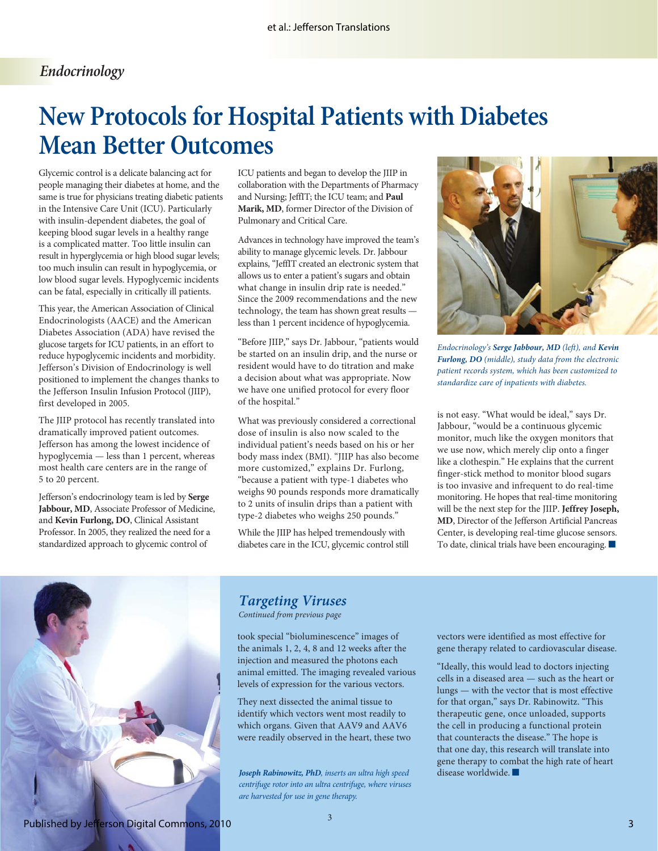## *Endocrinology*

## **New Protocols for Hospital Patients with Diabetes Mean Better Outcomes**

Glycemic control is a delicate balancing act for people managing their diabetes at home, and the same is true for physicians treating diabetic patients in the Intensive Care Unit (ICU). Particularly with insulin-dependent diabetes, the goal of keeping blood sugar levels in a healthy range is a complicated matter. Too little insulin can result in hyperglycemia or high blood sugar levels; too much insulin can result in hypoglycemia, or low blood sugar levels. Hypoglycemic incidents can be fatal, especially in critically ill patients.

This year, the American Association of Clinical Endocrinologists (AACE) and the American Diabetes Association (ADA) have revised the glucose targets for ICU patients, in an effort to reduce hypoglycemic incidents and morbidity. Jefferson's Division of Endocrinology is well positioned to implement the changes thanks to the Jefferson Insulin Infusion Protocol (JIIP), first developed in 2005.

The JIIP protocol has recently translated into dramatically improved patient outcomes. Jefferson has among the lowest incidence of hypoglycemia — less than 1 percent, whereas most health care centers are in the range of 5 to 20 percent.

Jefferson's endocrinology team is led by **Serge Jabbour, MD**, Associate Professor of Medicine, and **Kevin Furlong, DO**, Clinical Assistant Professor. In 2005, they realized the need for a standardized approach to glycemic control of

ICU patients and began to develop the JIIP in collaboration with the Departments of Pharmacy and Nursing; JeffIT; the ICU team; and **Paul Marik, MD**, former Director of the Division of Pulmonary and Critical Care.

Advances in technology have improved the team's ability to manage glycemic levels. Dr. Jabbour explains, "JeffIT created an electronic system that allows us to enter a patient's sugars and obtain what change in insulin drip rate is needed." Since the 2009 recommendations and the new technology, the team has shown great results less than 1 percent incidence of hypoglycemia.

"Before JIIP," says Dr. Jabbour, "patients would be started on an insulin drip, and the nurse or resident would have to do titration and make a decision about what was appropriate. Now we have one unified protocol for every floor of the hospital."

What was previously considered a correctional dose of insulin is also now scaled to the individual patient's needs based on his or her body mass index (BMI). "JIIP has also become more customized," explains Dr. Furlong, "because a patient with type-1 diabetes who weighs 90 pounds responds more dramatically to 2 units of insulin drips than a patient with type-2 diabetes who weighs 250 pounds."

While the JIIP has helped tremendously with diabetes care in the ICU, glycemic control still



*Endocrinology's Serge Jabbour, MD (left), and Kevin Furlong, DO (middle), study data from the electronic patient records system, which has been customized to standardize care of inpatients with diabetes.*

is not easy. "What would be ideal," says Dr. Jabbour, "would be a continuous glycemic monitor, much like the oxygen monitors that we use now, which merely clip onto a finger like a clothespin." He explains that the current finger-stick method to monitor blood sugars is too invasive and infrequent to do real-time monitoring. He hopes that real-time monitoring will be the next step for the JIIP. **Jeffrey Joseph, MD**, Director of the Jefferson Artificial Pancreas Center, is developing real-time glucose sensors. To date, clinical trials have been encouraging. ■



## *Targeting Viruses*

*Continued from previous page*

took special "bioluminescence" images of the animals 1, 2, 4, 8 and 12 weeks after the injection and measured the photons each animal emitted. The imaging revealed various levels of expression for the various vectors.

They next dissected the animal tissue to identify which vectors went most readily to which organs. Given that AAV9 and AAV6 were readily observed in the heart, these two

*Joseph Rabinowitz, PhD, inserts an ultra high speed centrifuge rotor into an ultra centrifuge, where viruses are harvested for use in gene therapy.*

vectors were identified as most effective for gene therapy related to cardiovascular disease.

"Ideally, this would lead to doctors injecting cells in a diseased area — such as the heart or lungs — with the vector that is most effective for that organ," says Dr. Rabinowitz. "This therapeutic gene, once unloaded, supports the cell in producing a functional protein that counteracts the disease." The hope is that one day, this research will translate into gene therapy to combat the high rate of heart disease worldwide. ■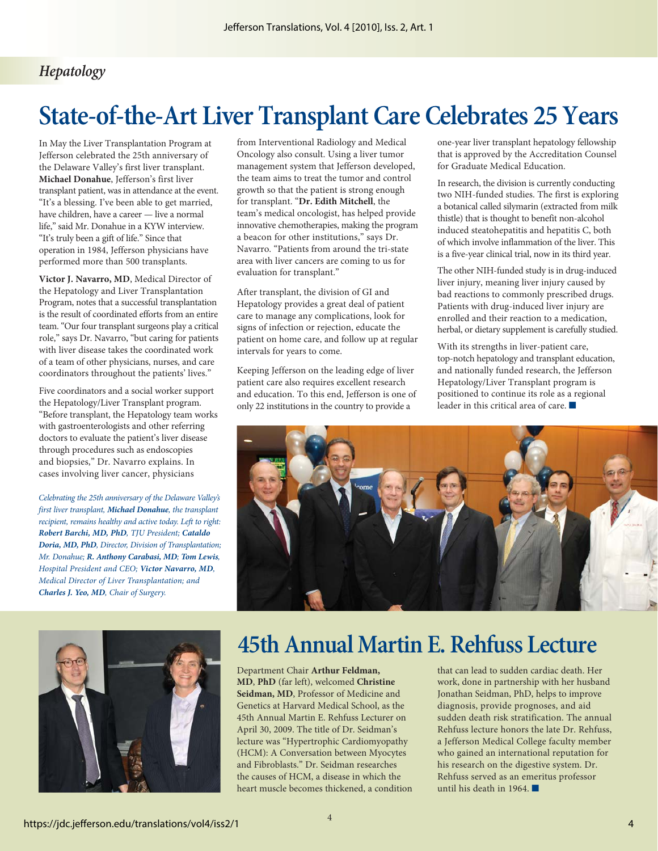## *Hepatology*

## **State-of-the-Art Liver Transplant Care Celebrates 25 Years**

In May the Liver Transplantation Program at Jefferson celebrated the 25th anniversary of the Delaware Valley's first liver transplant. **Michael Donahue**, Jefferson's first liver transplant patient, was in attendance at the event. "It's a blessing. I've been able to get married, have children, have a career — live a normal life," said Mr. Donahue in a KYW interview. "It's truly been a gift of life." Since that operation in 1984, Jefferson physicians have performed more than 500 transplants.

**Victor J. Navarro, MD**, Medical Director of the Hepatology and Liver Transplantation Program, notes that a successful transplantation is the result of coordinated efforts from an entire team. "Our four transplant surgeons play a critical role," says Dr. Navarro, "but caring for patients with liver disease takes the coordinated work of a team of other physicians, nurses, and care coordinators throughout the patients' lives."

Five coordinators and a social worker support the Hepatology/Liver Transplant program. "Before transplant, the Hepatology team works with gastroenterologists and other referring doctors to evaluate the patient's liver disease through procedures such as endoscopies and biopsies," Dr. Navarro explains. In cases involving liver cancer, physicians

*Celebrating the 25th anniversary of the Delaware Valley's first liver transplant, Michael Donahue, the transplant recipient, remains healthy and active today. Left to right: Robert Barchi, MD, PhD, TJU President; Cataldo Doria, MD, PhD, Director, Division of Transplantation; Mr. Donahue; R. Anthony Carabasi, MD; Tom Lewis, Hospital President and CEO; Victor Navarro, MD, Medical Director of Liver Transplantation; and Charles J. Yeo, MD, Chair of Surgery.*

from Interventional Radiology and Medical Oncology also consult. Using a liver tumor management system that Jefferson developed, the team aims to treat the tumor and control growth so that the patient is strong enough for transplant. "**Dr. Edith Mitchell**, the team's medical oncologist, has helped provide innovative chemotherapies, making the program a beacon for other institutions," says Dr. Navarro. "Patients from around the tri-state area with liver cancers are coming to us for evaluation for transplant."

After transplant, the division of GI and Hepatology provides a great deal of patient care to manage any complications, look for signs of infection or rejection, educate the patient on home care, and follow up at regular intervals for years to come.

Keeping Jefferson on the leading edge of liver patient care also requires excellent research and education. To this end, Jefferson is one of only 22 institutions in the country to provide a

one-year liver transplant hepatology fellowship that is approved by the Accreditation Counsel for Graduate Medical Education.

In research, the division is currently conducting two NIH-funded studies. The first is exploring a botanical called silymarin (extracted from milk thistle) that is thought to benefit non-alcohol induced steatohepatitis and hepatitis C, both of which involve inflammation of the liver. This is a five-year clinical trial, now in its third year.

The other NIH-funded study is in drug-induced liver injury, meaning liver injury caused by bad reactions to commonly prescribed drugs. Patients with drug-induced liver injury are enrolled and their reaction to a medication, herbal, or dietary supplement is carefully studied.

With its strengths in liver-patient care, top-notch hepatology and transplant education, and nationally funded research, the Jefferson Hepatology/Liver Transplant program is positioned to continue its role as a regional leader in this critical area of care. ■





## **45th Annual Martin E. Rehfuss Lecture**

Department Chair **Arthur Feldman, MD**, **PhD** (far left), welcomed **Christine Seidman, MD**, Professor of Medicine and Genetics at Harvard Medical School, as the 45th Annual Martin E. Rehfuss Lecturer on April 30, 2009. The title of Dr. Seidman's lecture was "Hypertrophic Cardiomyopathy (HCM): A Conversation between Myocytes and Fibroblasts." Dr. Seidman researches the causes of HCM, a disease in which the heart muscle becomes thickened, a condition that can lead to sudden cardiac death. Her work, done in partnership with her husband Jonathan Seidman, PhD, helps to improve diagnosis, provide prognoses, and aid sudden death risk stratification. The annual Rehfuss lecture honors the late Dr. Rehfuss, a Jefferson Medical College faculty member who gained an international reputation for his research on the digestive system. Dr. Rehfuss served as an emeritus professor until his death in 1964. ■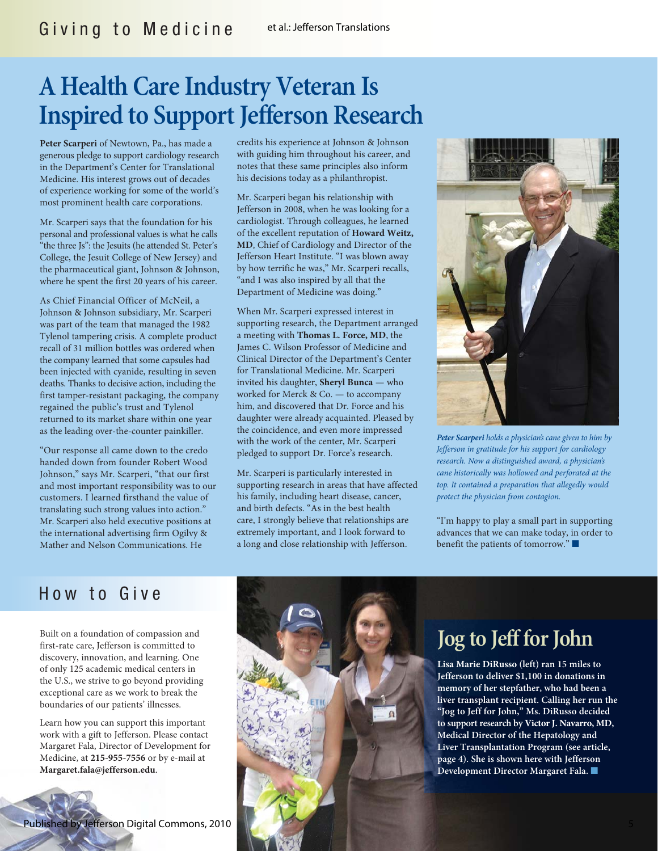## **A Health Care Industry Veteran Is Inspired to Support Jefferson Research**

**Peter Scarperi** of Newtown, Pa., has made a generous pledge to support cardiology research in the Department's Center for Translational Medicine. His interest grows out of decades of experience working for some of the world's most prominent health care corporations.

Mr. Scarperi says that the foundation for his personal and professional values is what he calls "the three Js": the Jesuits (he attended St. Peter's College, the Jesuit College of New Jersey) and the pharmaceutical giant, Johnson & Johnson, where he spent the first 20 years of his career.

As Chief Financial Officer of McNeil, a Johnson & Johnson subsidiary, Mr. Scarperi was part of the team that managed the 1982 Tylenol tampering crisis. A complete product recall of 31 million bottles was ordered when the company learned that some capsules had been injected with cyanide, resulting in seven deaths. Thanks to decisive action, including the first tamper-resistant packaging, the company regained the public's trust and Tylenol returned to its market share within one year as the leading over-the-counter painkiller.

"Our response all came down to the credo handed down from founder Robert Wood Johnson," says Mr. Scarperi, "that our first and most important responsibility was to our customers. I learned firsthand the value of translating such strong values into action." Mr. Scarperi also held executive positions at the international advertising firm Ogilvy & Mather and Nelson Communications. He

credits his experience at Johnson & Johnson with guiding him throughout his career, and notes that these same principles also inform his decisions today as a philanthropist.

Mr. Scarperi began his relationship with Jefferson in 2008, when he was looking for a cardiologist. Through colleagues, he learned of the excellent reputation of **Howard Weitz, MD**, Chief of Cardiology and Director of the Jefferson Heart Institute. "I was blown away by how terrific he was," Mr. Scarperi recalls, "and I was also inspired by all that the Department of Medicine was doing."

When Mr. Scarperi expressed interest in supporting research, the Department arranged a meeting with **Thomas L. Force, MD**, the James C. Wilson Professor of Medicine and Clinical Director of the Department's Center for Translational Medicine. Mr. Scarperi invited his daughter, **Sheryl Bunca** — who worked for Merck & Co. — to accompany him, and discovered that Dr. Force and his daughter were already acquainted. Pleased by the coincidence, and even more impressed with the work of the center, Mr. Scarperi pledged to support Dr. Force's research.

Mr. Scarperi is particularly interested in supporting research in areas that have affected his family, including heart disease, cancer, and birth defects. "As in the best health care, I strongly believe that relationships are extremely important, and I look forward to a long and close relationship with Jefferson.



*Peter Scarperi holds a physician's cane given to him by Jefferson in gratitude for his support for cardiology research. Now a distinguished award, a physician's cane historically was hollowed and perforated at the top. It contained a preparation that allegedly would protect the physician from contagion.*

"I'm happy to play a small part in supporting advances that we can make today, in order to benefit the patients of tomorrow." ■

## How to Give

Built on a foundation of compassion and first-rate care, Jefferson is committed to discovery, innovation, and learning. One of only 125 academic medical centers in the U.S., we strive to go beyond providing exceptional care as we work to break the boundaries of our patients' illnesses.

Learn how you can support this important work with a gift to Jefferson. Please contact Margaret Fala, Director of Development for Medicine, at **215-955-7556** or by e-mail at **Margaret.fala@jefferson.edu**.

Published by Jefferson Digital Commons, 2010



## **Jog to Jeff for John**

**Lisa Marie DiRusso (left) ran 15 miles to Jefferson to deliver \$1,100 in donations in memory of her stepfather, who had been a liver transplant recipient. Calling her run the "Jog to Jeff for John," Ms. DiRusso decided to support research by Victor J. Navarro, MD, Medical Director of the Hepatology and Liver Transplantation Program (see article, page 4). She is shown here with Jefferson Development Director Margaret Fala.** ■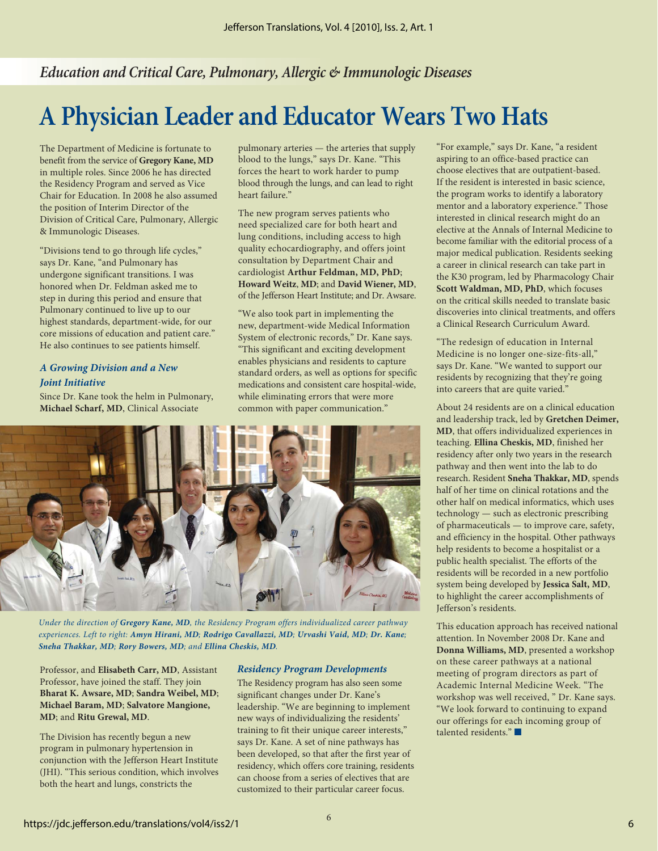## *Education and Critical Care, Pulmonary, Allergic & Immunologic Diseases*

## **A Physician Leader and Educator Wears Two Hats**

The Department of Medicine is fortunate to benefit from the service of **Gregory Kane, MD** in multiple roles. Since 2006 he has directed the Residency Program and served as Vice Chair for Education. In 2008 he also assumed the position of Interim Director of the Division of Critical Care, Pulmonary, Allergic & Immunologic Diseases.

"Divisions tend to go through life cycles," says Dr. Kane, "and Pulmonary has undergone significant transitions. I was honored when Dr. Feldman asked me to step in during this period and ensure that Pulmonary continued to live up to our highest standards, department-wide, for our core missions of education and patient care." He also continues to see patients himself.

## *A Growing Division and a New Joint Initiative*

Since Dr. Kane took the helm in Pulmonary, **Michael Scharf, MD**, Clinical Associate

pulmonary arteries — the arteries that supply blood to the lungs," says Dr. Kane. "This forces the heart to work harder to pump blood through the lungs, and can lead to right heart failure."

The new program serves patients who need specialized care for both heart and lung conditions, including access to high quality echocardiography, and offers joint consultation by Department Chair and cardiologist **Arthur Feldman, MD, PhD**; **Howard Weitz**, **MD**; and **David Wiener, MD**, of the Jefferson Heart Institute; and Dr. Awsare.

"We also took part in implementing the new, department-wide Medical Information System of electronic records," Dr. Kane says. "This significant and exciting development enables physicians and residents to capture standard orders, as well as options for specific medications and consistent care hospital-wide, while eliminating errors that were more common with paper communication."



*Under the direction of Gregory Kane, MD, the Residency Program offers individualized career pathway experiences. Left to right: Amyn Hirani, MD; Rodrigo Cavallazzi, MD; Urvashi Vaid, MD; Dr. Kane; Sneha Thakkar, MD; Rory Bowers, MD; and Ellina Cheskis, MD.*

Professor, and **Elisabeth Carr, MD**, Assistant Professor, have joined the staff. They join **Bharat K. Awsare, MD**; **Sandra Weibel, MD**; **Michael Baram, MD**; **Salvatore Mangione, MD**; and **Ritu Grewal, MD**.

The Division has recently begun a new program in pulmonary hypertension in conjunction with the Jefferson Heart Institute (JHI). "This serious condition, which involves both the heart and lungs, constricts the

### *Residency Program Developments*

The Residency program has also seen some significant changes under Dr. Kane's leadership. "We are beginning to implement new ways of individualizing the residents' training to fit their unique career interests," says Dr. Kane. A set of nine pathways has been developed, so that after the first year of residency, which offers core training, residents can choose from a series of electives that are customized to their particular career focus.

"For example," says Dr. Kane, "a resident aspiring to an office-based practice can choose electives that are outpatient-based. If the resident is interested in basic science, the program works to identify a laboratory mentor and a laboratory experience." Those interested in clinical research might do an elective at the Annals of Internal Medicine to become familiar with the editorial process of a major medical publication. Residents seeking a career in clinical research can take part in the K30 program, led by Pharmacology Chair **Scott Waldman, MD, PhD**, which focuses on the critical skills needed to translate basic discoveries into clinical treatments, and offers a Clinical Research Curriculum Award.

"The redesign of education in Internal Medicine is no longer one-size-fits-all," says Dr. Kane. "We wanted to support our residents by recognizing that they're going into careers that are quite varied."

About 24 residents are on a clinical education and leadership track, led by **Gretchen Deimer, MD**, that offers individualized experiences in teaching. **Ellina Cheskis, MD**, finished her residency after only two years in the research pathway and then went into the lab to do research. Resident **Sneha Thakkar, MD**, spends half of her time on clinical rotations and the other half on medical informatics, which uses technology — such as electronic prescribing of pharmaceuticals — to improve care, safety, and efficiency in the hospital. Other pathways help residents to become a hospitalist or a public health specialist. The efforts of the residents will be recorded in a new portfolio system being developed by **Jessica Salt, MD**, to highlight the career accomplishments of Jefferson's residents.

This education approach has received national attention. In November 2008 Dr. Kane and **Donna Williams, MD**, presented a workshop on these career pathways at a national meeting of program directors as part of Academic Internal Medicine Week. "The workshop was well received, " Dr. Kane says. "We look forward to continuing to expand our offerings for each incoming group of talented residents." ■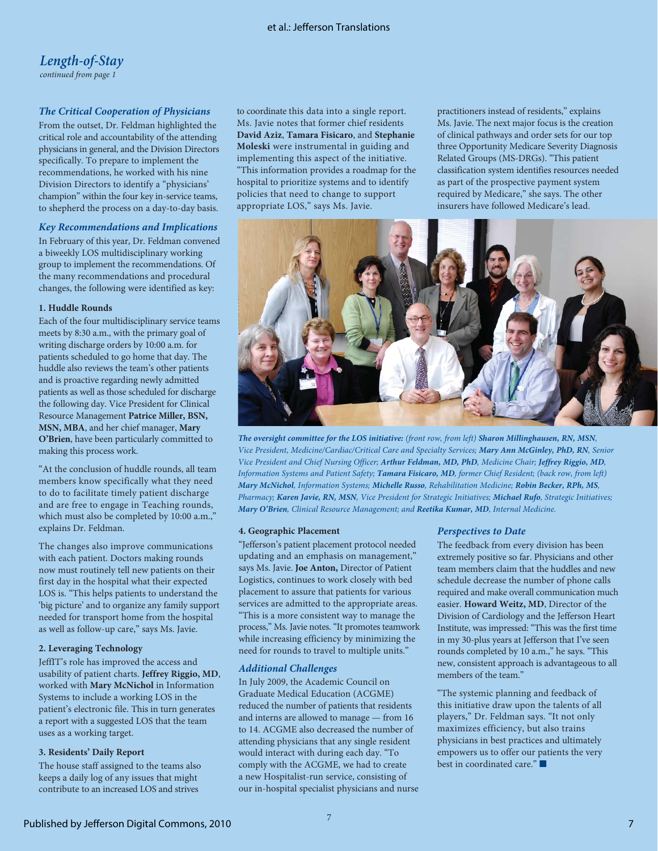## *Length-of-Stay*

*continued from page 1*

### *The Critical Cooperation of Physicians*

From the outset, Dr. Feldman highlighted the critical role and accountability of the attending physicians in general, and the Division Directors specifically. To prepare to implement the recommendations, he worked with his nine Division Directors to identify a "physicians' champion" within the four key in-service teams, to shepherd the process on a day-to-day basis.

### *Key Recommendations and Implications*

In February of this year, Dr. Feldman convened a biweekly LOS multidisciplinary working group to implement the recommendations. Of the many recommendations and procedural changes, the following were identified as key:

#### **1. Huddle Rounds**

Each of the four multidisciplinary service teams meets by 8:30 a.m., with the primary goal of writing discharge orders by 10:00 a.m. for patients scheduled to go home that day. The huddle also reviews the team's other patients and is proactive regarding newly admitted patients as well as those scheduled for discharge the following day. Vice President for Clinical Resource Management **Patrice Miller, BSN, MSN, MBA**, and her chief manager, **Mary O'Brien**, have been particularly committed to making this process work.

"At the conclusion of huddle rounds, all team members know specifically what they need to do to facilitate timely patient discharge and are free to engage in Teaching rounds, which must also be completed by 10:00 a.m.," explains Dr. Feldman.

The changes also improve communications with each patient. Doctors making rounds now must routinely tell new patients on their first day in the hospital what their expected LOS is. "This helps patients to understand the 'big picture' and to organize any family support needed for transport home from the hospital as well as follow-up care," says Ms. Javie.

### **2. Leveraging Technology**

JeffIT's role has improved the access and usability of patient charts. **Jeffrey Riggio, MD**, worked with **Mary McNichol** in Information Systems to include a working LOS in the patient's electronic file. This in turn generates a report with a suggested LOS that the team uses as a working target.

#### **3. Residents' Daily Report**

The house staff assigned to the teams also keeps a daily log of any issues that might contribute to an increased LOS and strives

to coordinate this data into a single report. Ms. Javie notes that former chief residents **David Aziz**, **Tamara Fisicaro**, and **Stephanie Moleski** were instrumental in guiding and implementing this aspect of the initiative. "This information provides a roadmap for the hospital to prioritize systems and to identify policies that need to change to support appropriate LOS," says Ms. Javie.

practitioners instead of residents," explains Ms. Javie. The next major focus is the creation of clinical pathways and order sets for our top three Opportunity Medicare Severity Diagnosis Related Groups (MS-DRGs). "This patient classification system identifies resources needed as part of the prospective payment system required by Medicare," she says. The other insurers have followed Medicare's lead.



*The oversight committee for the LOS initiative: (front row, from left) Sharon Millinghausen, RN, MSN, Vice President, Medicine/Cardiac/Critical Care and Specialty Services; Mary Ann McGinley, PhD, RN, Senior Vice President and Chief Nursing Officer; Arthur Feldman, MD, PhD, Medicine Chair; Jeffrey Riggio, MD, Information Systems and Patient Safety; Tamara Fisicaro, MD, former Chief Resident; (back row, from left) Mary McNichol, Information Systems; Michelle Russo, Rehabilitation Medicine; Robin Becker, RPh, MS, Pharmacy; Karen Javie, RN, MSN, Vice President for Strategic Initiatives; Michael Rufo, Strategic Initiatives; Mary O'Brien, Clinical Resource Management; and Reetika Kumar, MD, Internal Medicine.*

#### **4. Geographic Placement**

"Jefferson's patient placement protocol needed updating and an emphasis on management," says Ms. Javie. **Joe Anton,** Director of Patient Logistics, continues to work closely with bed placement to assure that patients for various services are admitted to the appropriate areas. "This is a more consistent way to manage the process," Ms. Javie notes. "It promotes teamwork while increasing efficiency by minimizing the need for rounds to travel to multiple units."

#### *Additional Challenges*

In July 2009, the Academic Council on Graduate Medical Education (ACGME) reduced the number of patients that residents and interns are allowed to manage — from 16 to 14. ACGME also decreased the number of attending physicians that any single resident would interact with during each day. "To comply with the ACGME, we had to create a new Hospitalist-run service, consisting of our in-hospital specialist physicians and nurse

### *Perspectives to Date*

The feedback from every division has been extremely positive so far. Physicians and other team members claim that the huddles and new schedule decrease the number of phone calls required and make overall communication much easier. **Howard Weitz, MD**, Director of the Division of Cardiology and the Jefferson Heart Institute, was impressed: "This was the first time in my 30-plus years at Jefferson that I've seen rounds completed by 10 a.m.," he says. "This new, consistent approach is advantageous to all members of the team."

"The systemic planning and feedback of this initiative draw upon the talents of all players," Dr. Feldman says. "It not only maximizes efficiency, but also trains physicians in best practices and ultimately empowers us to offer our patients the very best in coordinated care." ■